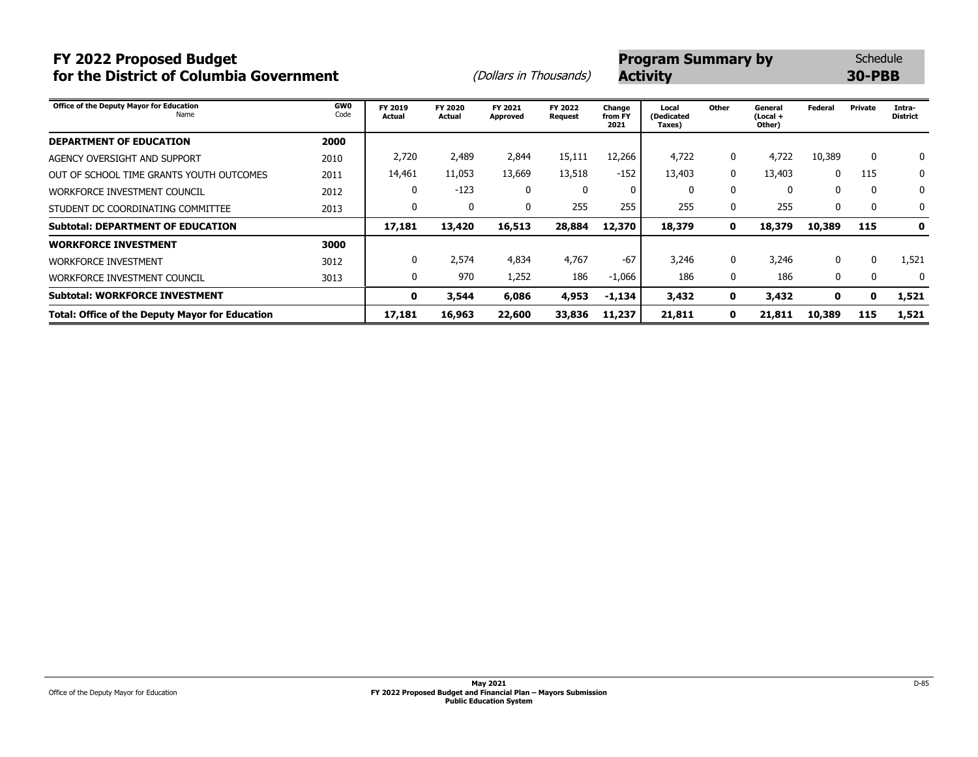# **FY 2022 Proposed Budget**<br> **FY 2022 Proposed Budget**<br> **Program Summary by** Schedule<br> **Program Summary by** So-PBB **for the District of Columbia Government** (*Dollars in Thousands*)

| Office of the Deputy Mayor for Education<br>Name       | <b>GW0</b><br>Code | FY 2019<br>Actual | FY 2020<br><b>Actual</b> | FY 2021<br>Approved | FY 2022<br><b>Request</b> | Change<br>from FY<br>2021 | Local<br>(Dedicated<br>Taxes) | Other        | General<br>(Local +<br>Other) | <b>Federal</b> | Private | Intra-<br><b>District</b> |
|--------------------------------------------------------|--------------------|-------------------|--------------------------|---------------------|---------------------------|---------------------------|-------------------------------|--------------|-------------------------------|----------------|---------|---------------------------|
| <b>DEPARTMENT OF EDUCATION</b>                         | 2000               |                   |                          |                     |                           |                           |                               |              |                               |                |         |                           |
| AGENCY OVERSIGHT AND SUPPORT                           | 2010               | 2,720             | 2,489                    | 2,844               | 15,111                    | 12,266                    | 4,722                         | 0            | 4,722                         | 10,389         | 0       | 0                         |
| OUT OF SCHOOL TIME GRANTS YOUTH OUTCOMES               | 2011               | 14,461            | 11,053                   | 13,669              | 13,518                    | $-152$                    | 13,403                        | 0            | 13,403                        | $\Omega$       | 115     | 0                         |
| WORKFORCE INVESTMENT COUNCIL                           | 2012               | 0                 | $-123$                   | 0                   | $\mathbf{0}$              |                           | $\mathbf{0}$                  | $\mathbf{0}$ | 0                             | 0              | 0       | 0                         |
| STUDENT DC COORDINATING COMMITTEE                      | 2013               | 0                 | 0                        | 0                   | 255                       | 255                       | 255                           | 0            | 255                           | 0              | 0       | 0                         |
| <b>Subtotal: DEPARTMENT OF EDUCATION</b>               |                    | 17,181            | 13,420                   | 16,513              | 28,884                    | 12,370                    | 18,379                        | $\mathbf 0$  | 18,379                        | 10,389         | 115     | $\mathbf 0$               |
| <b>WORKFORCE INVESTMENT</b>                            | 3000               |                   |                          |                     |                           |                           |                               |              |                               |                |         |                           |
| <b>WORKFORCE INVESTMENT</b>                            | 3012               | 0                 | 2.574                    | 4,834               | 4,767                     | $-67$                     | 3,246                         | 0            | 3,246                         | $\Omega$       | 0       | 1,521                     |
| WORKFORCE INVESTMENT COUNCIL                           | 3013               | 0                 | 970                      | 1,252               | 186                       | $-1,066$                  | 186                           | 0            | 186                           | 0              | 0       | $\mathbf{0}$              |
| <b>Subtotal: WORKFORCE INVESTMENT</b>                  |                    | 0                 | 3,544                    | 6,086               | 4,953                     | -1,134                    | 3,432                         | $\mathbf 0$  | 3,432                         | 0              | 0       | 1,521                     |
| <b>Total: Office of the Deputy Mayor for Education</b> |                    | 17,181            | 16,963                   | 22,600              | 33,836                    | 11,237                    | 21,811                        | $\mathbf 0$  | 21,811                        | 10,389         | 115     | 1,521                     |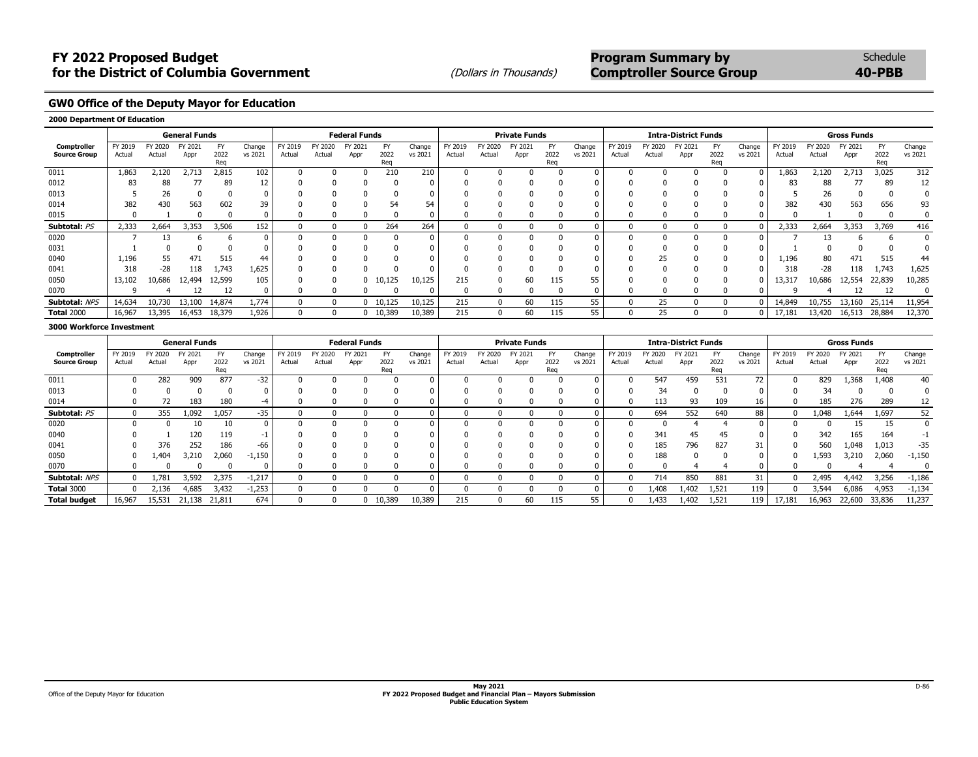## **FY 2022 Proposed Budget**<br> **FY 2022 Proposed Budget**<br> **Program Summary by** Schedule<br> **Program Summary by Program Summary by** Schedule<br> **Program Summary by** Schedule for the District of Columbia Government (Dollars in Thousands) **Comptroller Source Group 40-PBB**

**GW0 Office of the Deputy Mayor for Education**

#### **2000 Department Of Education**

|                     |         |        | <b>General Funds</b> |             |          |         |        | <b>Federal Funds</b> |             |         |              |         | <b>Private Funds</b> |             |          |         |              | <b>Intra-District Funds</b> |             |         |         |         | <b>Gross Funds</b> |             |         |
|---------------------|---------|--------|----------------------|-------------|----------|---------|--------|----------------------|-------------|---------|--------------|---------|----------------------|-------------|----------|---------|--------------|-----------------------------|-------------|---------|---------|---------|--------------------|-------------|---------|
| Comptroller         | FY 2019 | Y 2020 | FY 2021              |             | Change   | FY 2019 | Y 2020 | FY 2021              |             | Change  | FY 2019      | FY 2020 | FY 2021              |             | Change   | FY 2019 | TY 2020      | FY 2021                     | F           | Change  | FY 2019 | FY 2020 | FY 2021            | <b>FY</b>   | Change  |
| <b>Source Group</b> | Actual  | Actual | Appr                 | 2022<br>Rea | vs 2021  | Actual  | Actual | Appr                 | 2022<br>Reg | vs 2021 | Actual       | Actual  | Appr                 | 2022<br>Reg | vs 2021  | Actual  | Actual       | Appr                        | 2022<br>Reg | vs 2021 | Actual  | Actual  | Appr               | 2022<br>Reg | vs 2021 |
| 0011                | 1,863   | 2,120  | 2,713                | 2,815       | 102      |         |        |                      | 210         | 210     |              |         |                      |             | $\Omega$ |         |              |                             |             | 0       | 1,863   | 2,120   | 2,713              | 3,025       | 312     |
| 0012                | 83      | 88     |                      | 89          | 12       |         |        |                      |             |         |              |         |                      |             |          |         |              |                             |             |         |         | 88      |                    | 89          | 12      |
| 0013                |         | 26     |                      |             |          |         |        |                      |             |         |              |         |                      |             |          |         |              |                             |             |         |         | 26      |                    |             |         |
| 0014                | 382     | 430    | 563                  | 602         | 39       |         |        |                      |             | 54      |              |         |                      |             |          |         |              |                             |             |         | 382     | 430     | 563                | 656         | 93      |
| 0015                |         |        |                      |             |          |         |        |                      |             |         |              |         |                      |             |          |         |              |                             |             |         |         |         |                    |             |         |
| Subtotal: PS        | 2,333   | 2,664  | 3,353                | 3,506       | 152      |         |        |                      | 264         | 264     | $\mathbf{0}$ |         |                      |             | $\Omega$ |         | <sup>0</sup> |                             |             |         | 2,333   | 2.664   | 3,353              | 3,769       | 416     |
| 0020                |         |        |                      |             | $\Omega$ |         |        |                      |             | 0       |              |         |                      |             | $\Omega$ |         |              |                             |             |         |         | 13      |                    |             |         |
| 0031                |         |        |                      |             |          |         |        |                      |             |         |              |         |                      |             |          |         |              |                             |             |         |         |         |                    |             |         |
| 0040                | 1,196   | 55     | 471                  | 515         | 44       |         |        |                      |             |         |              |         |                      |             |          |         | 25           |                             |             |         | 1,196   | 80      | 471                | 515         | 44      |
| 0041                | 318     | $-28$  | 118                  | 1,743       | 1,625    |         |        |                      |             |         |              |         |                      |             |          |         |              |                             |             |         | 318     | $-28$   | 118                | 1,743       | 1,625   |
| 0050                | 13,102  | 0.686  | 12,494               | 12,599      | 105      |         |        |                      | 10,125      | 10,125  | 215          |         | 60                   | 115         | 55       |         |              |                             |             |         | 13,317  | 0,686   | 12,554             | 22,839      | 10,285  |
| 0070                |         |        |                      |             |          |         |        |                      |             |         |              |         |                      |             | 0        |         |              |                             |             |         |         |         |                    |             |         |
| Subtotal: NPS       | 14,634  | 10,730 | 13,100               | 14,874      | 1,774    |         |        |                      | $0$ 10,125  | 10,125  | 215          |         | 60                   | 115         | 55       |         | 25           |                             |             |         | 14,849  | 10,755  | 13,160             | 25,114      | 11,954  |
| <b>Total 2000</b>   | 16,967  | 13,395 | 16,453               | 18,379      | 1,926    |         |        |                      | 0 10,389    | 10,389  | 215          |         | 60                   | 115         | 55       |         | 25           |                             |             |         | 17,181  | 13,420  | 16,513             | 28,884      | 12,370  |

#### **3000 Workforce Investment**

|                                    |                   |                   | <b>General Funds</b> |             |                   |                   |                   | <b>Federal Funds</b> |                   |                   |                   |                   | <b>Private Funds</b> |                   |                   |                   |                   | <b>Intra-District Funds</b> |                  |                   |                   |                   | <b>Gross Funds</b> |                          |                   |
|------------------------------------|-------------------|-------------------|----------------------|-------------|-------------------|-------------------|-------------------|----------------------|-------------------|-------------------|-------------------|-------------------|----------------------|-------------------|-------------------|-------------------|-------------------|-----------------------------|------------------|-------------------|-------------------|-------------------|--------------------|--------------------------|-------------------|
| Comptroller<br><b>Source Group</b> | FY 2019<br>Actual | FY 2020<br>Actual | FY 2021<br>Appr      | 2022<br>Reg | Change<br>vs 2021 | FY 2019<br>Actual | FY 2020<br>Actual | FY 2021<br>Appr      | FY<br>2022<br>Reg | Change<br>vs 2021 | FY 2019<br>Actual | FY 2020<br>Actual | FY 2021<br>Appr      | FY<br>2022<br>Reg | Change<br>vs 2021 | FY 2019<br>Actual | FY 2020<br>Actual | FY 2021<br>Appr             | F<br>2022<br>Rea | Change<br>vs 2021 | FY 2019<br>Actual | FY 2020<br>Actual | FY 2021<br>Appr    | <b>FY</b><br>2022<br>Reg | Change<br>vs 2021 |
| 0011                               | 0                 | 282               | 909                  | 877         | $-32$             |                   |                   |                      |                   |                   |                   |                   |                      |                   |                   |                   | 547               | 459                         | 531              | 72                |                   | 829               | 368,،              | 1,408                    | 40                |
| 0013                               |                   |                   |                      |             |                   |                   |                   |                      |                   |                   |                   |                   |                      |                   |                   |                   | 34                |                             |                  |                   |                   | 34                |                    |                          |                   |
| 0014                               |                   | 72                | 183                  | 180         | -4                |                   |                   |                      |                   |                   |                   |                   |                      |                   |                   |                   | 113               | 93                          | 109              | 16                |                   | 185               | 276                | 289                      | 12                |
| Subtotal: PS                       | $\Omega$          | 355               | 1,092                | 1,057       | $-35$             |                   |                   |                      |                   |                   |                   |                   |                      |                   |                   |                   | 694               | 552                         | 640              | 88                | $\Omega$          | 1.048             | 1.644              | 1,697                    | 52                |
| 0020                               | <sup>0</sup>      |                   | 10                   |             |                   |                   |                   |                      |                   |                   |                   |                   |                      |                   |                   |                   |                   |                             |                  |                   |                   |                   |                    | 15                       |                   |
| 0040                               |                   |                   | 120                  | 119         | -1                |                   |                   |                      |                   |                   |                   |                   |                      |                   |                   |                   | 341               | 45                          | 45               |                   |                   | 342               | 165                | 164                      | -1                |
| 0041                               |                   | 376               | 252                  | 186         | -66               |                   |                   |                      |                   |                   |                   |                   |                      |                   |                   |                   | 185               | 796                         | 827              | 31                |                   | 560               | .048               | 1.013                    | $-35$             |
| 0050                               | 0                 | .404              | 3,210                | 2,060       | $-1,150$          |                   |                   |                      |                   |                   |                   |                   |                      |                   |                   |                   | 188               |                             |                  |                   |                   | 1,593             | 3,210              | 2,060                    | $-1,150$          |
| 0070                               |                   |                   |                      |             |                   |                   |                   |                      |                   |                   |                   |                   |                      |                   |                   |                   |                   |                             |                  |                   |                   |                   |                    |                          |                   |
| Subtotal: NPS                      | 0                 | 1.781             | 3,592                | 2,375       | $-1,217$          |                   |                   |                      |                   |                   |                   |                   |                      |                   |                   |                   | 714               | 850                         | 881              | 31                | <sup>0</sup>      | 2,495             | 4,442              | 3,256                    | $-1,186$          |
| <b>Total 3000</b>                  | 0                 | $\angle 136$      | 4,685                | 3,432       | $-1,253$          |                   |                   |                      |                   |                   |                   |                   |                      |                   |                   |                   | 1,408             | 1,402                       | 1,521            | 119               | <sup>0</sup>      | 3,544             | 6,086              | 4,953                    | $-1,134$          |
| <b>Total budget</b>                | 16,967            | 15,531            | 21,138               | 21,811      | 674               |                   |                   |                      | $0$ 10,389        | 10,389            | 215               |                   | 60                   | 115               | 55                |                   | .433              | 1,402                       | 1,521            | 119               | 17,181            | 16,963            | 22,600             | 33,836                   | 11,237            |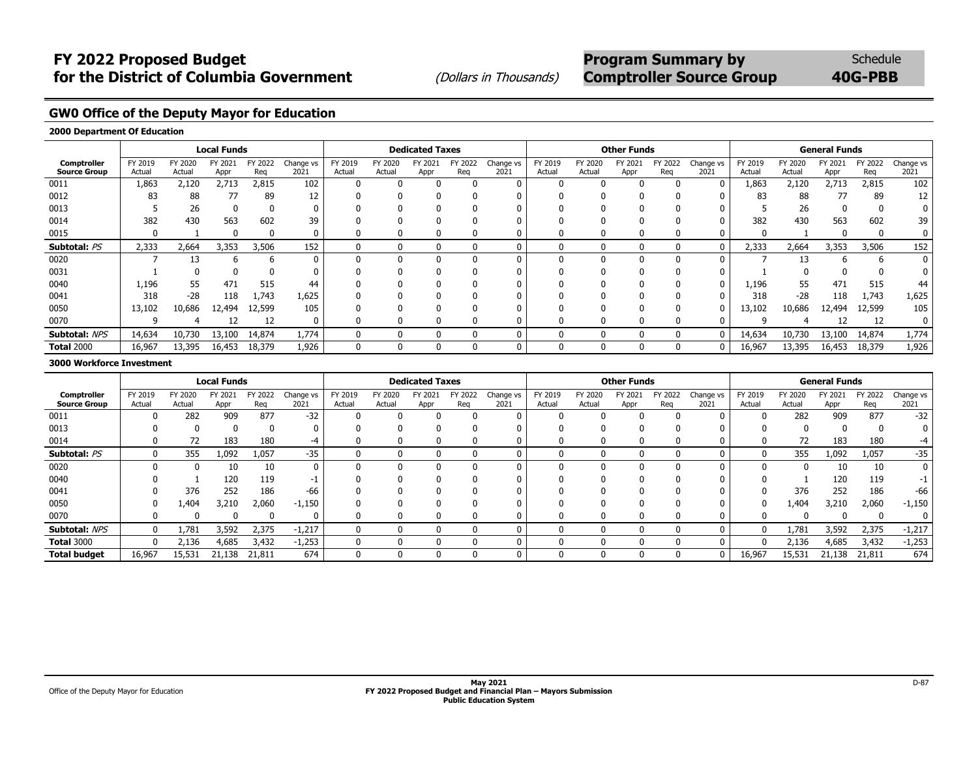**GW0 Office of the Deputy Mayor for Education**

### **2000 Department Of Education**

|                                    |                   |                   | <b>Local Funds</b> |                |                   |                   |                   | <b>Dedicated Taxes</b> |                |                   |                   |                   | <b>Other Funds</b> |                |                   |                   |                   | <b>General Funds</b> |                |                   |
|------------------------------------|-------------------|-------------------|--------------------|----------------|-------------------|-------------------|-------------------|------------------------|----------------|-------------------|-------------------|-------------------|--------------------|----------------|-------------------|-------------------|-------------------|----------------------|----------------|-------------------|
| Comptroller<br><b>Source Group</b> | FY 2019<br>Actual | FY 2020<br>Actual | FY 2021<br>Appr    | FY 2022<br>Reg | Change vs<br>2021 | FY 2019<br>Actual | FY 2020<br>Actual | FY 2021<br>Appr        | FY 2022<br>Rea | Change vs<br>2021 | FY 2019<br>Actual | FY 2020<br>Actual | FY 2021<br>Appr    | FY 2022<br>Reg | Change vs<br>2021 | FY 2019<br>Actual | FY 2020<br>Actual | FY 2021<br>Appr      | FY 2022<br>Reg | Change vs<br>2021 |
| 0011                               | 1,863             | 2,120             | 2,713              | 2,815          | 102               | O                 |                   |                        |                |                   | n                 |                   |                    |                |                   | 1,863             | 2,120             | 2,713                | 2,815          | 102               |
| 0012                               | 83                | 88                | 77                 | 89             | 12                |                   |                   |                        |                |                   |                   |                   |                    |                |                   | 83                | 88                | 77                   | 89             | 12                |
| 0013                               |                   | 26                |                    |                |                   |                   |                   |                        |                |                   |                   |                   |                    |                |                   |                   | 26                |                      | 0              |                   |
| 0014                               | 382               | 430               | 563                | 602            | 39                | 0                 |                   |                        | 0              |                   |                   |                   |                    |                |                   | 382               | 430               | 563                  | 602            | 39                |
| 0015                               | 0                 |                   |                    |                |                   | 0                 |                   |                        | 0              |                   |                   |                   |                    |                |                   | 0                 |                   |                      | 0              | 0                 |
| Subtotal: PS                       | 2,333             | 2,664             | 3,353              | 3,506          | 152               | 0                 |                   |                        | 0              | 0                 | $\Omega$          |                   | $\Omega$           |                | 0                 | 2,333             | 2,664             | 3,353                | 3,506          | 152               |
| 0020                               |                   | 13                |                    |                |                   | 0                 |                   |                        |                |                   | $\Omega$          |                   |                    |                |                   |                   | 13                |                      | h              | 0                 |
| 0031                               |                   |                   |                    |                |                   |                   |                   |                        | 0              |                   |                   |                   |                    |                |                   |                   |                   |                      | 0              |                   |
| 0040                               | 1,196             | 55                | 471                | 515            | 44                | 0                 |                   |                        | 0              |                   |                   |                   |                    |                | $\Omega$          | 1,196             | 55                | 471                  | 515            | 44                |
| 0041                               | 318               | $-28$             | 118                | 1,743          | 1,625             | 0                 |                   |                        |                |                   |                   |                   |                    |                |                   | 318               | $-28$             | 118                  | 1,743          | 1,625             |
| 0050                               | 13,102            | 10,686            | 12,494             | 12,599         | 105               | 0                 |                   |                        |                |                   |                   |                   |                    |                |                   | 13,102            | 10,686            | 12,494               | 12,599         | 105               |
| 0070                               |                   |                   | 12                 | 12             | 0                 | 0                 |                   |                        | 0              |                   |                   |                   |                    |                |                   | q                 |                   | 12                   | 12             | 0                 |
| Subtotal: NPS                      | 14,634            | 10,730            | 13,100             | 14,874         | 1,774             | 0                 |                   |                        | 0              | 0                 | $\mathbf{0}$      |                   | $\mathbf{0}$       |                | 0                 | 14,634            | 10,730            | 13,100               | 14,874         | 1,774             |
| <b>Total 2000</b>                  | 16,967            | 13,395            | 16,453             | 18,379         | 1,926             | 0                 |                   |                        | $\mathbf{0}$   | 0                 | $\Omega$          |                   | $\Omega$           |                | 0                 | 16,967            | 13,395            | 16,453               | 18,379         | 1,926             |

#### **3000 Workforce Investment**

|                                    |                   |                   | <b>Local Funds</b> |                |                   |                   |                   | <b>Dedicated Taxes</b> |               |                   |                   |                   | <b>Other Funds</b> |                |                   |                   |                   | <b>General Funds</b> |                |                   |
|------------------------------------|-------------------|-------------------|--------------------|----------------|-------------------|-------------------|-------------------|------------------------|---------------|-------------------|-------------------|-------------------|--------------------|----------------|-------------------|-------------------|-------------------|----------------------|----------------|-------------------|
| Comptroller<br><b>Source Group</b> | FY 2019<br>Actual | FY 2020<br>Actual | FY 2021<br>Appr    | FY 2022<br>Rea | Change vs<br>2021 | FY 2019<br>Actual | FY 2020<br>Actual | FY 2021<br>Appr        | Y 2022<br>Rea | Change vs<br>2021 | FY 2019<br>Actual | FY 2020<br>Actual | Y 202.<br>Appr     | FY 2022<br>Reg | Change vs<br>2021 | FY 2019<br>Actual | FY 2020<br>Actual | FY 2021<br>Appr      | FY 2022<br>Rea | Change vs<br>2021 |
| 0011                               | $\Omega$          | 282               | 909                | 877            | $-32$             |                   |                   |                        |               |                   |                   |                   |                    |                |                   | <sup>0</sup>      | 282               | 909                  | 877            | $-32$             |
| 0013                               |                   |                   | <sup>0</sup>       |                |                   |                   |                   |                        |               | 0                 |                   |                   |                    |                |                   |                   |                   |                      |                |                   |
| 0014                               |                   | 72                | 183                | 180            | -4                |                   |                   |                        |               |                   |                   |                   |                    |                |                   | <sup>0</sup>      | 72                | 183                  | 180            | -4                |
| Subtotal: PS                       | 0                 | 355               | 1,092              | 1,057          | $-35$             |                   |                   |                        | $\Omega$      | 0                 |                   |                   |                    | $^{(1)}$       |                   | $\Omega$          | 355               | 1,092                | 1,057          | $-35$             |
| 0020                               |                   |                   | 10                 | 10             |                   |                   |                   |                        | $\Omega$      | 0                 |                   |                   |                    | $\Omega$       |                   | $\Omega$          |                   | 10                   | 10             |                   |
| 0040                               |                   |                   | 120                | 119            | -1                |                   |                   |                        |               |                   |                   |                   |                    |                |                   |                   |                   | 120                  | 119            |                   |
| 0041                               |                   | 376               | 252                | 186            | -66               |                   |                   |                        |               | 0                 |                   |                   |                    |                |                   | $\Omega$          | 376               | 252                  | 186            | -66               |
| 0050                               | 0                 | 404,ء             | 3,210              | 2,060          | $-1,150$          |                   |                   |                        |               | 0                 |                   |                   |                    |                |                   | 0                 | 1,404             | 3,210                | 2,060          | $-1,150$          |
| 0070                               | $\Omega$          |                   | ŋ                  |                |                   |                   |                   |                        | O             | 0                 |                   |                   |                    | $\mathbf{u}$   |                   | <sup>0</sup>      |                   |                      |                |                   |
| Subtotal: NPS                      | $\Omega$          | 1,781             | 3,592              | 2,375          | $-1,217$          |                   |                   |                        | $\Omega$      | 0                 |                   |                   |                    | n.             |                   | $\Omega$          | 1,781             | 3,592                | 2,375          | $-1,217$          |
| <b>Total 3000</b>                  | 0                 | 2,136             | 4,685              | 3,432          | $-1,253$          |                   |                   |                        | O             | 0                 |                   |                   |                    | $\mathsf{O}$   |                   | $\mathbf{0}$      | 2,136             | 4,685                | 3,432          | $-1,253$          |
| <b>Total budget</b>                | 16,967            | 15,531            | 21,138             | 21,811         | 674               |                   |                   |                        | 0             | 0                 |                   |                   |                    |                |                   | 16,967            | 15,531            | 21,138               | 21,811         | 674               |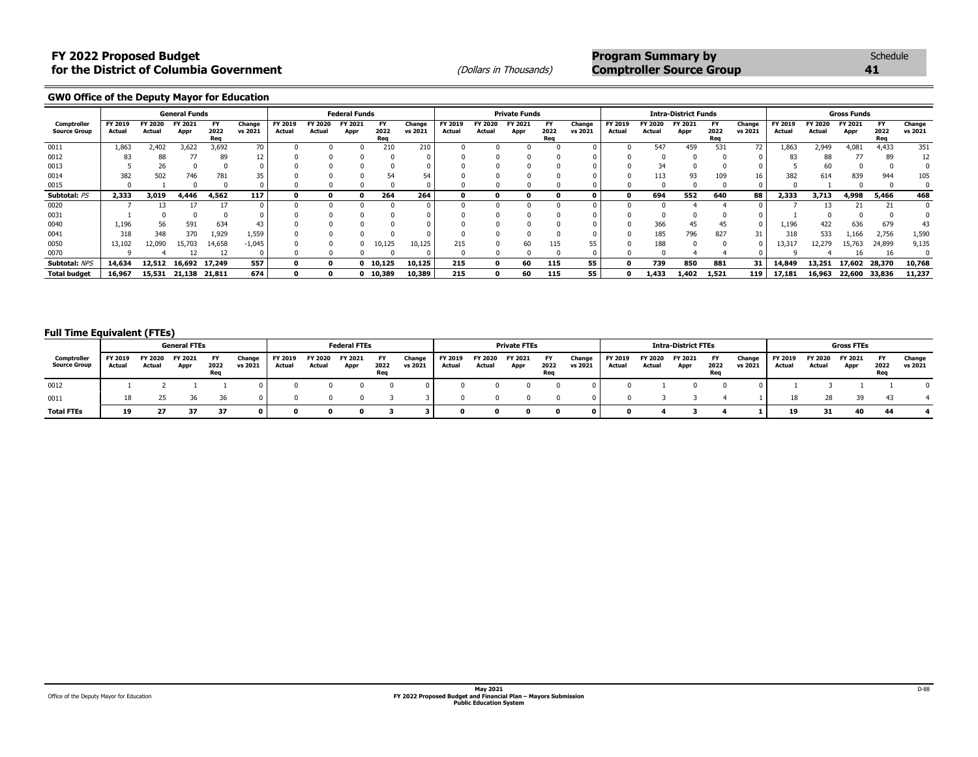**GW0 Office of the Deputy Mayor for Education**

|                                    |                   |                   | <b>General Funds</b> |                          |                   |                   |                   | <b>Federal Funds</b> |                   |                   |                   |                   | <b>Private Funds</b> |                   |                   |                   |                   | <b>Intra-District Funds</b> |                   |                   |                   |                   | <b>Gross Funds</b> |                          |                   |
|------------------------------------|-------------------|-------------------|----------------------|--------------------------|-------------------|-------------------|-------------------|----------------------|-------------------|-------------------|-------------------|-------------------|----------------------|-------------------|-------------------|-------------------|-------------------|-----------------------------|-------------------|-------------------|-------------------|-------------------|--------------------|--------------------------|-------------------|
| Comptroller<br><b>Source Group</b> | FY 2019<br>Actual | FY 2020<br>Actual | FY 2021<br>Appr      | <b>FY</b><br>2022<br>Req | Change<br>vs 2021 | FY 2019<br>Actual | FY 2020<br>Actual | FY 2021<br>Appr      | FY<br>2022<br>Req | Change<br>vs 2021 | FY 2019<br>Actual | FY 2020<br>Actual | FY 2021<br>Appr      | FY<br>2022<br>Req | Change<br>vs 2021 | FY 2019<br>Actual | FY 2020<br>Actual | FY 2021<br>Appr             | FY<br>2022<br>Req | Change<br>vs 2021 | FY 2019<br>Actual | FY 2020<br>Actual | FY 2021<br>Appr    | <b>FY</b><br>2022<br>Req | Change<br>vs 2021 |
| 0011                               | 1,863             | 2,402             | 3,622                | 3,692                    | 70                |                   |                   |                      | 210               | 210               |                   |                   |                      |                   |                   |                   | 547               | 459                         | 531               | 72                | 1.863             | 2,949             | 4,081              | 4,433                    | 351               |
| 0012                               | 83                | 88                |                      | 89                       | 12                |                   |                   |                      |                   |                   |                   |                   |                      |                   |                   |                   |                   |                             |                   |                   | 83                | 88                |                    | 89                       |                   |
| 0013                               |                   | 26                |                      |                          |                   |                   |                   |                      |                   |                   |                   |                   |                      |                   |                   |                   |                   |                             |                   |                   |                   |                   |                    |                          |                   |
| 0014                               | 382               | 502               | 746                  | 781                      | 35                |                   |                   |                      |                   |                   |                   |                   |                      |                   |                   |                   | 113               |                             | 109               | 16                | 382               | 614               | 839                | 944                      | 105               |
| 0015                               |                   |                   |                      |                          |                   |                   |                   |                      |                   |                   |                   |                   |                      |                   |                   |                   |                   |                             |                   |                   |                   |                   |                    |                          |                   |
| Subtotal: PS                       | 2,333             | 3,019             | 4,446                | 4,562                    | 117               |                   |                   |                      | 264               | 264               |                   |                   |                      |                   |                   |                   | 694               | 552                         | 640               | 88                | 2,333             | 3,713             | 4,998              | 5,466                    | 468               |
| 0020                               |                   |                   |                      |                          |                   |                   |                   |                      |                   |                   |                   |                   |                      |                   |                   |                   |                   |                             |                   |                   |                   |                   |                    |                          |                   |
| 0031                               |                   |                   |                      |                          |                   |                   |                   |                      |                   |                   |                   |                   |                      |                   |                   |                   |                   |                             |                   |                   |                   |                   |                    |                          |                   |
| 0040                               | 1,196             | 56                | 591                  | 634                      | 43                |                   |                   |                      |                   |                   |                   |                   |                      |                   |                   |                   | 366               | 45                          | 45                |                   | 1,196             | 422               | 636                | 679                      | 43                |
| 0041                               | 318               | 348               | 370                  | 1,929                    | 1,559             |                   |                   |                      |                   |                   |                   |                   |                      |                   |                   |                   | 185               | 796                         | 827               | 31                | 318               | 533               | 1,166              | 2,756                    | 1,590             |
| 0050                               | 13,102            | 12,090            | 15,703               | 14,658                   | $-1,045$          |                   |                   |                      | 10,125            | 10,125            | 215               |                   | 60                   | 115               | 55                |                   | 188               |                             |                   |                   | 13,317            | 12,279            | 15,763             | 24,899                   | 9,135             |
| 0070                               |                   |                   |                      |                          |                   |                   |                   |                      |                   |                   |                   |                   |                      |                   |                   |                   |                   |                             |                   |                   |                   |                   | 16                 | 16                       |                   |
| Subtotal: NPS                      | 14,634            | 12,512            | 16,692 17,249        |                          | 557               |                   |                   |                      | 0 10,125          | 10,125            | 215               |                   | 60                   | 115               | 55                |                   | 739               | 850                         | 881               | 31 <sup>1</sup>   | 14,849            | 13,251            | 17,602             | 28,370                   | 10,768            |
| <b>Total budget</b>                | 16,967            |                   | 15,531 21,138 21,811 |                          | 674               |                   |                   |                      | 10,389 (          | 10,389            | 215               |                   | 60                   | 115               | 55                |                   | 1,433             | 1,402                       | 1,521             | 119               | 17,181            | 16,963            | 22,600 33,836      |                          | 11,237            |

### **Full Time Equivalent (FTEs)**

|                                    |                   |                   | <b>General FTEs</b> |                   |                   |                   |                   | <b>Federal FTEs</b> |                   |                   |                   |                   | <b>Private FTEs</b> |                   |                   |                   |                   | <b>Intra-District FTEs</b> |                   |                   |                   |                   | <b>Gross FTEs</b> |                   |                   |
|------------------------------------|-------------------|-------------------|---------------------|-------------------|-------------------|-------------------|-------------------|---------------------|-------------------|-------------------|-------------------|-------------------|---------------------|-------------------|-------------------|-------------------|-------------------|----------------------------|-------------------|-------------------|-------------------|-------------------|-------------------|-------------------|-------------------|
| Comptroller<br><b>Source Group</b> | FY 2019<br>Actual | FY 2020<br>Actual | FY 2021<br>Appr     | FY<br>2022<br>Req | Change<br>vs 2021 | FY 2019<br>Actual | FY 2020<br>Actual | FY 2021<br>Appr     | FY<br>2022<br>Req | Change<br>vs 2021 | FY 2019<br>Actual | FY 2020<br>Actual | FY 2021<br>Appr     | FY<br>2022<br>Req | Change<br>vs 2021 | FY 2019<br>Actual | FY 2020<br>Actual | FY 2021<br>Appr            | FΥ<br>2022<br>Rea | Change<br>vs 2021 | FY 2019<br>Actual | FY 2020<br>Actual | FY 2021<br>Appr   | FY<br>2022<br>Req | Change<br>vs 2021 |
| 0012                               |                   |                   |                     |                   |                   |                   |                   |                     |                   |                   |                   |                   |                     |                   |                   |                   |                   |                            |                   |                   |                   |                   |                   |                   |                   |
| 0011                               |                   |                   |                     |                   |                   |                   |                   |                     |                   |                   |                   |                   |                     |                   |                   |                   |                   |                            |                   |                   |                   |                   |                   |                   |                   |
| <b>Total FTEs</b>                  | 19                |                   | 37                  | 37                |                   |                   |                   |                     |                   |                   |                   |                   |                     |                   |                   |                   |                   |                            |                   |                   | 19                | 31                | 40                | 44                |                   |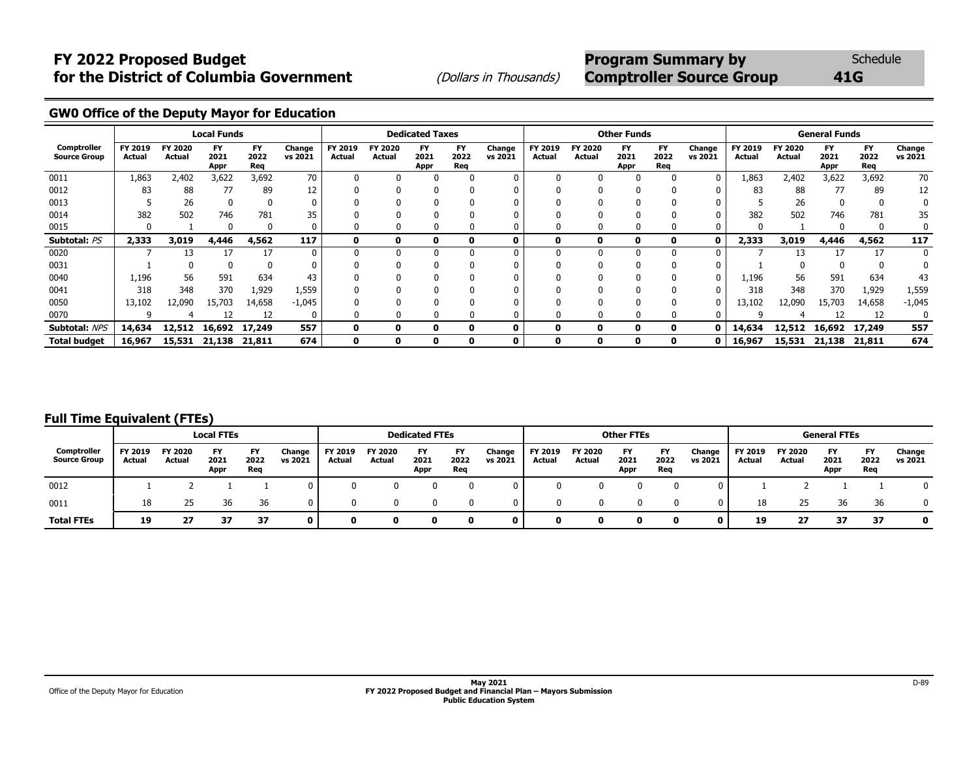# **FY 2022 Proposed Budget** *CONDER SChedule* **Program Summary by** Schedule **for the District of Columbia Government** (Dollars in Thousands) **Comptroller Source Group** 41G

**GW0 Office of the Deputy Mayor for Education**

|                                    |                   |                   | <b>Local Funds</b>        |                          |                   |                   |                   | <b>Dedicated Taxes</b>    |                          |                   |                   |                   | <b>Other Funds</b>        |                          |                   |                   |                   | <b>General Funds</b>      |                          |                   |
|------------------------------------|-------------------|-------------------|---------------------------|--------------------------|-------------------|-------------------|-------------------|---------------------------|--------------------------|-------------------|-------------------|-------------------|---------------------------|--------------------------|-------------------|-------------------|-------------------|---------------------------|--------------------------|-------------------|
| Comptroller<br><b>Source Group</b> | FY 2019<br>Actual | FY 2020<br>Actual | <b>FY</b><br>2021<br>Appr | <b>FY</b><br>2022<br>Req | Change<br>vs 2021 | FY 2019<br>Actual | FY 2020<br>Actual | <b>FY</b><br>2021<br>Appr | <b>FY</b><br>2022<br>Req | Change<br>vs 2021 | FY 2019<br>Actual | FY 2020<br>Actual | <b>FY</b><br>2021<br>Appr | <b>FY</b><br>2022<br>Req | Change<br>vs 2021 | FY 2019<br>Actual | FY 2020<br>Actual | <b>FY</b><br>2021<br>Appr | <b>FY</b><br>2022<br>Req | Change<br>vs 2021 |
| 0011                               | 1,863             | 2,402             | 3,622                     | 3,692                    | 70                | $\Omega$          |                   | <sup>0</sup>              |                          | $\Omega$          |                   |                   |                           |                          | 0                 | 1,863             | 2,402             | 3,622                     | 3,692                    | 70                |
| 0012                               | 83                | 88                | 77                        | 89                       | 12                |                   |                   |                           |                          |                   |                   |                   |                           |                          |                   | 83                | 88                | 77                        | 89                       | 12                |
| 0013                               |                   | 26                |                           |                          | 0                 |                   |                   |                           |                          |                   |                   |                   |                           |                          |                   |                   | 26                |                           |                          | 0                 |
| 0014                               | 382               | 502               | 746                       | 781                      | 35                |                   |                   |                           |                          |                   |                   |                   |                           |                          |                   | 382               | 502               | 746                       | 781                      | 35                |
| 0015                               | $\Omega$          |                   | n                         | O                        | 0                 |                   |                   |                           |                          |                   |                   |                   |                           |                          |                   | 0                 |                   |                           | $\Omega$                 | 0                 |
| Subtotal: PS                       | 2,333             | 3,019             | 4,446                     | 4,562                    | 117               | 0                 |                   | 0                         | O                        | 0                 |                   |                   | 0                         |                          |                   | 2,333             | 3,019             | 4,446                     | 4,562                    | 117               |
| 0020                               |                   | 13                | 17                        | 17                       | $\mathbf{0}$      | U                 |                   |                           |                          | U                 |                   |                   |                           |                          |                   |                   | 13                | 17                        | 17                       | $\mathbf{0}$      |
| 0031                               |                   |                   |                           |                          |                   |                   |                   |                           |                          |                   |                   |                   |                           |                          |                   |                   |                   |                           |                          |                   |
| 0040                               | 1,196             | 56                | 591                       | 634                      | 43                |                   |                   |                           |                          |                   |                   |                   |                           |                          |                   | 1,196             | 56                | 591                       | 634                      | 43                |
| 0041                               | 318               | 348               | 370                       | 1,929                    | 1,559             |                   |                   |                           |                          |                   |                   |                   |                           |                          |                   | 318               | 348               | 370                       | 1,929                    | 1,559             |
| 0050                               | 13,102            | 12,090            | 15,703                    | 14,658                   | $-1,045$          |                   |                   |                           |                          |                   |                   |                   |                           |                          |                   | 13,102            | 12,090            | 15,703                    | 14,658                   | $-1,045$          |
| 0070                               |                   |                   | 12                        | 12                       | 0                 |                   |                   |                           |                          |                   |                   |                   |                           |                          |                   | q                 |                   | 12                        | 12                       | 0                 |
| Subtotal: NPS                      | 14,634            | 12,512            | 16,692                    | 17,249                   | 557               | 0                 |                   | n                         | 0                        | 0                 |                   | 0                 | ŋ                         |                          |                   | 14,634            | 12,512            | 16,692                    | 17,249                   | 557               |
| <b>Total budget</b>                | 16,967            | 15,531            | 21,138                    | 21,811                   | 674               | 0                 |                   | 0                         | 0                        | 0                 |                   |                   | 0                         |                          | 0                 | 16,967            | 15,531            | 21,138                    | 21,811                   | 674               |

### **Full Time Equivalent (FTEs)**

|                                    |                   |                   | <b>Local FTEs</b>         |                   |                   |                   |                                 | <b>Dedicated FTEs</b> |                          |                   |                   |                                 | <b>Other FTEs</b>  |                   |                   |                   |                          | <b>General FTEs</b>       |                   |                   |
|------------------------------------|-------------------|-------------------|---------------------------|-------------------|-------------------|-------------------|---------------------------------|-----------------------|--------------------------|-------------------|-------------------|---------------------------------|--------------------|-------------------|-------------------|-------------------|--------------------------|---------------------------|-------------------|-------------------|
| Comptroller<br><b>Source Group</b> | FY 2019<br>Actual | FY 2020<br>Actual | <b>FY</b><br>2021<br>Appr | FY<br>2022<br>Req | Change<br>vs 2021 | FY 2019<br>Actual | <b>FY 2020</b><br><b>Actual</b> | FY<br>2021<br>Appr    | <b>FY</b><br>2022<br>Reg | Change<br>vs 2021 | FY 2019<br>Actual | <b>FY 2020</b><br><b>Actual</b> | FY<br>2021<br>Appr | FY<br>2022<br>Req | Change<br>vs 2021 | FY 2019<br>Actual | <b>FY 2020</b><br>Actual | <b>FY</b><br>2021<br>Appr | FY<br>2022<br>Req | Change<br>vs 2021 |
| 0012                               |                   |                   |                           |                   |                   |                   |                                 |                       |                          |                   |                   |                                 |                    |                   |                   |                   |                          |                           |                   | $\Omega$          |
| 0011                               | 18                | 25                | 36                        | 36                | 0.                |                   |                                 |                       |                          |                   | 0                 |                                 |                    |                   |                   | 18                | 25                       | 36                        | 36                | $\Omega$          |
| <b>Total FTEs</b>                  | 19                | 27                | 37                        | 37                | 0                 |                   |                                 |                       | 0                        | 0                 | n.                | n                               |                    | ŋ                 | 0                 | 19                | 27                       | 37                        | 37                | $\mathbf{0}$      |